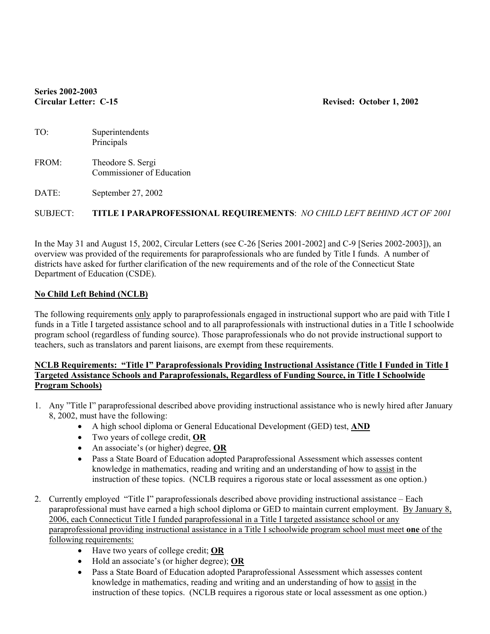# **Series 2002-2003**

#### **Circular Letter: C-15 Revised: October 1, 2002**

| TO:   | Superintendents<br>Principals                  |
|-------|------------------------------------------------|
| FROM: | Theodore S. Sergi<br>Commissioner of Education |

DATE: September 27, 2002

# SUBJECT: **TITLE I PARAPROFESSIONAL REQUIREMENTS**: *NO CHILD LEFT BEHIND ACT OF 2001*

In the May 31 and August 15, 2002, Circular Letters (see C-26 [Series 2001-2002] and C-9 [Series 2002-2003]), an overview was provided of the requirements for paraprofessionals who are funded by Title I funds. A number of districts have asked for further clarification of the new requirements and of the role of the Connecticut State Department of Education (CSDE).

## **No Child Left Behind (NCLB)**

The following requirements only apply to paraprofessionals engaged in instructional support who are paid with Title I funds in a Title I targeted assistance school and to all paraprofessionals with instructional duties in a Title I schoolwide program school (regardless of funding source). Those paraprofessionals who do not provide instructional support to teachers, such as translators and parent liaisons, are exempt from these requirements.

## **NCLB Requirements: "Title I" Paraprofessionals Providing Instructional Assistance (Title I Funded in Title I Targeted Assistance Schools and Paraprofessionals, Regardless of Funding Source, in Title I Schoolwide Program Schools)**

- 1. Any "Title I" paraprofessional described above providing instructional assistance who is newly hired after January 8, 2002, must have the following:
	- A high school diploma or General Educational Development (GED) test, **AND**
	- Two years of college credit, **OR**
	- An associate's (or higher) degree, **OR**
	- Pass a State Board of Education adopted Paraprofessional Assessment which assesses content knowledge in mathematics, reading and writing and an understanding of how to assist in the instruction of these topics. (NCLB requires a rigorous state or local assessment as one option.)
- 2. Currently employed "Title I" paraprofessionals described above providing instructional assistance Each paraprofessional must have earned a high school diploma or GED to maintain current employment. By January 8, 2006, each Connecticut Title I funded paraprofessional in a Title I targeted assistance school or any paraprofessional providing instructional assistance in a Title I schoolwide program school must meet **one** of the following requirements:
	- Have two years of college credit; **OR**
	- Hold an associate's (or higher degree); **OR**
	- Pass a State Board of Education adopted Paraprofessional Assessment which assesses content knowledge in mathematics, reading and writing and an understanding of how to assist in the instruction of these topics. (NCLB requires a rigorous state or local assessment as one option.)